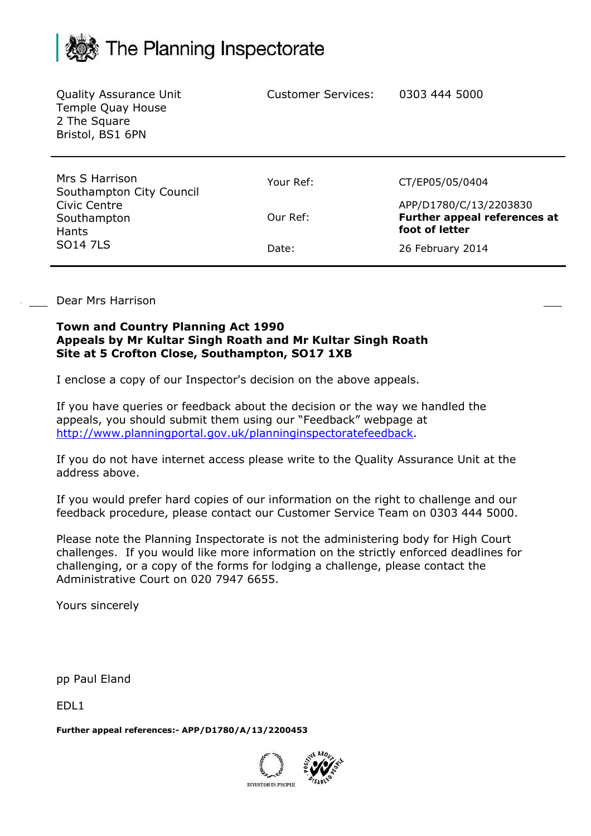## The Planning Inspectorate

| <b>Quality Assurance Unit</b><br>Temple Quay House<br>2 The Square<br>Bristol, BS1 6PN | <b>Customer Services:</b> | 0303 444 5000                                                            |
|----------------------------------------------------------------------------------------|---------------------------|--------------------------------------------------------------------------|
| Mrs S Harrison<br>Southampton City Council                                             | Your Ref:                 | CT/EP05/05/0404                                                          |
| Civic Centre<br>Southampton<br><b>Hants</b><br><b>SO14 7LS</b>                         | Our Ref:                  | APP/D1780/C/13/2203830<br>Further appeal references at<br>foot of letter |
|                                                                                        | Date:                     | 26 February 2014                                                         |

Dear Mrs Harrison

## **Town and Country Planning Act 1990 Appeals by Mr Kultar Singh Roath and Mr Kultar Singh Roath Site at 5 Crofton Close, Southampton, SO17 1XB**

I enclose a copy of our Inspector's decision on the above appeals.

If you have queries or feedback about the decision or the way we handled the appeals, you should submit them using our "Feedback" webpage at http://www.planningportal.gov.uk/planninginspectoratefeedback.

If you do not have internet access please write to the Quality Assurance Unit at the address above.

If you would prefer hard copies of our information on the right to challenge and our feedback procedure, please contact our Customer Service Team on 0303 444 5000.

Please note the Planning Inspectorate is not the administering body for High Court challenges. If you would like more information on the strictly enforced deadlines for challenging, or a copy of the forms for lodging a challenge, please contact the Administrative Court on 020 7947 6655.

Yours sincerely

pp Paul Eland

EDL1

**Further appeal references:- APP/D1780/A/13/2200453**